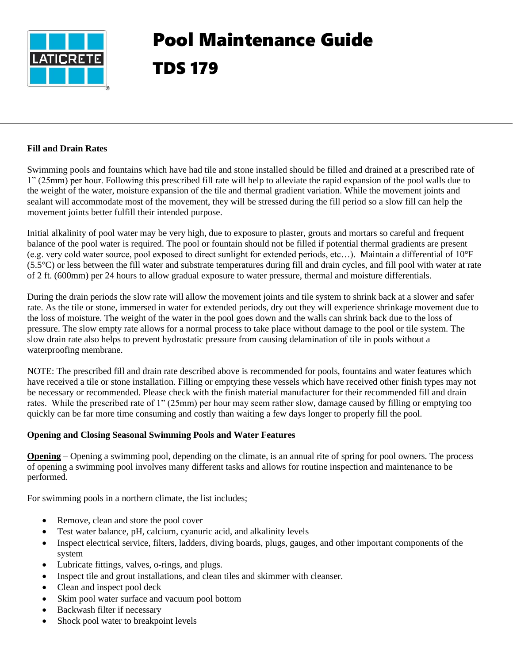

# Pool Maintenance Guide TDS 179

#### **Fill and Drain Rates**

Swimming pools and fountains which have had tile and stone installed should be filled and drained at a prescribed rate of 1" (25mm) per hour. Following this prescribed fill rate will help to alleviate the rapid expansion of the pool walls due to the weight of the water, moisture expansion of the tile and thermal gradient variation. While the movement joints and sealant will accommodate most of the movement, they will be stressed during the fill period so a slow fill can help the movement joints better fulfill their intended purpose.

Initial alkalinity of pool water may be very high, due to exposure to plaster, grouts and mortars so careful and frequent balance of the pool water is required. The pool or fountain should not be filled if potential thermal gradients are present (e.g. very cold water source, pool exposed to direct sunlight for extended periods, etc…). Maintain a differential of 10°F (5.5°C) or less between the fill water and substrate temperatures during fill and drain cycles, and fill pool with water at rate of 2 ft. (600mm) per 24 hours to allow gradual exposure to water pressure, thermal and moisture differentials.

During the drain periods the slow rate will allow the movement joints and tile system to shrink back at a slower and safer rate. As the tile or stone, immersed in water for extended periods, dry out they will experience shrinkage movement due to the loss of moisture. The weight of the water in the pool goes down and the walls can shrink back due to the loss of pressure. The slow empty rate allows for a normal process to take place without damage to the pool or tile system. The slow drain rate also helps to prevent hydrostatic pressure from causing delamination of tile in pools without a waterproofing membrane.

NOTE: The prescribed fill and drain rate described above is recommended for pools, fountains and water features which have received a tile or stone installation. Filling or emptying these vessels which have received other finish types may not be necessary or recommended. Please check with the finish material manufacturer for their recommended fill and drain rates. While the prescribed rate of 1" (25mm) per hour may seem rather slow, damage caused by filling or emptying too quickly can be far more time consuming and costly than waiting a few days longer to properly fill the pool.

#### **Opening and Closing Seasonal Swimming Pools and Water Features**

**Opening** – Opening a swimming pool, depending on the climate, is an annual rite of spring for pool owners. The process of opening a swimming pool involves many different tasks and allows for routine inspection and maintenance to be performed.

For swimming pools in a northern climate, the list includes;

- Remove, clean and store the pool cover
- Test water balance, pH, calcium, cyanuric acid, and alkalinity levels
- Inspect electrical service, filters, ladders, diving boards, plugs, gauges, and other important components of the system
- Lubricate fittings, valves, o-rings, and plugs.
- Inspect tile and grout installations, and clean tiles and skimmer with cleanser.
- Clean and inspect pool deck
- Skim pool water surface and vacuum pool bottom
- Backwash filter if necessary
- Shock pool water to breakpoint levels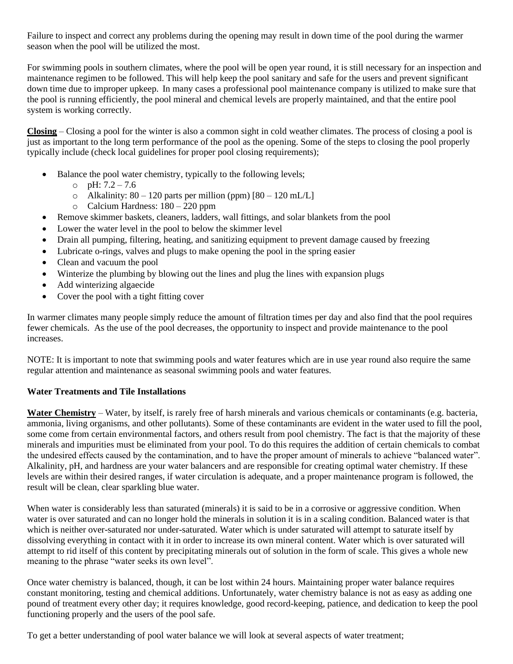Failure to inspect and correct any problems during the opening may result in down time of the pool during the warmer season when the pool will be utilized the most.

For swimming pools in southern climates, where the pool will be open year round, it is still necessary for an inspection and maintenance regimen to be followed. This will help keep the pool sanitary and safe for the users and prevent significant down time due to improper upkeep. In many cases a professional pool maintenance company is utilized to make sure that the pool is running efficiently, the pool mineral and chemical levels are properly maintained, and that the entire pool system is working correctly.

**Closing** – Closing a pool for the winter is also a common sight in cold weather climates. The process of closing a pool is just as important to the long term performance of the pool as the opening. Some of the steps to closing the pool properly typically include (check local guidelines for proper pool closing requirements);

- Balance the pool water chemistry, typically to the following levels;
	- $O$  pH:  $7.2 7.6$
	- o Alkalinity:  $80 120$  parts per million (ppm)  $[80 120$  mL/L]
	- o Calcium Hardness: 180 220 ppm
	- Remove skimmer baskets, cleaners, ladders, wall fittings, and solar blankets from the pool
- Lower the water level in the pool to below the skimmer level
- Drain all pumping, filtering, heating, and sanitizing equipment to prevent damage caused by freezing
- Lubricate o-rings, valves and plugs to make opening the pool in the spring easier
- Clean and vacuum the pool
- Winterize the plumbing by blowing out the lines and plug the lines with expansion plugs
- Add winterizing algaecide
- Cover the pool with a tight fitting cover

In warmer climates many people simply reduce the amount of filtration times per day and also find that the pool requires fewer chemicals. As the use of the pool decreases, the opportunity to inspect and provide maintenance to the pool increases.

NOTE: It is important to note that swimming pools and water features which are in use year round also require the same regular attention and maintenance as seasonal swimming pools and water features.

#### **Water Treatments and Tile Installations**

**Water Chemistry** – Water, by itself, is rarely free of harsh minerals and various chemicals or contaminants (e.g. bacteria, ammonia, living organisms, and other pollutants). Some of these contaminants are evident in the water used to fill the pool, some come from certain environmental factors, and others result from pool chemistry. The fact is that the majority of these minerals and impurities must be eliminated from your pool. To do this requires the addition of certain chemicals to combat the undesired effects caused by the contamination, and to have the proper amount of minerals to achieve "balanced water". Alkalinity, pH, and hardness are your water balancers and are responsible for creating optimal water chemistry. If these levels are within their desired ranges, if water circulation is adequate, and a proper maintenance program is followed, the result will be clean, clear sparkling blue water.

When water is considerably less than saturated (minerals) it is said to be in a corrosive or aggressive condition. When water is over saturated and can no longer hold the minerals in solution it is in a scaling condition. Balanced water is that which is neither over-saturated nor under-saturated. Water which is under saturated will attempt to saturate itself by dissolving everything in contact with it in order to increase its own mineral content. Water which is over saturated will attempt to rid itself of this content by precipitating minerals out of solution in the form of scale. This gives a whole new meaning to the phrase "water seeks its own level".

Once water chemistry is balanced, though, it can be lost within 24 hours. Maintaining proper water balance requires constant monitoring, testing and chemical additions. Unfortunately, water chemistry balance is not as easy as adding one pound of treatment every other day; it requires knowledge, good record-keeping, patience, and dedication to keep the pool functioning properly and the users of the pool safe.

To get a better understanding of pool water balance we will look at several aspects of water treatment;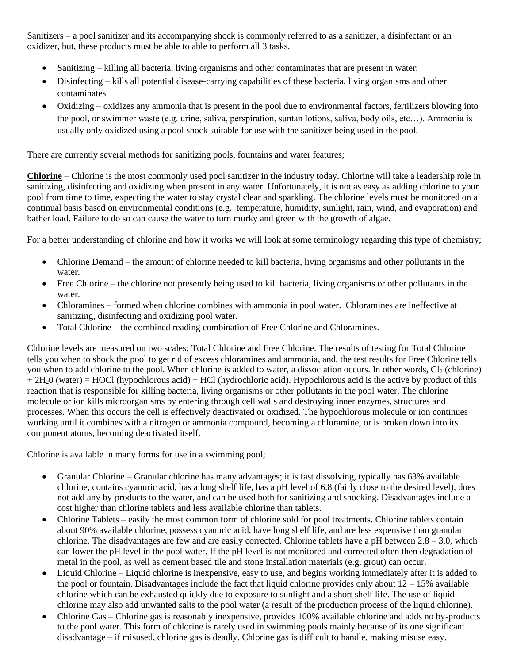Sanitizers – a pool sanitizer and its accompanying shock is commonly referred to as a sanitizer, a disinfectant or an oxidizer, but, these products must be able to able to perform all 3 tasks.

- Sanitizing killing all bacteria, living organisms and other contaminates that are present in water;
- Disinfecting kills all potential disease-carrying capabilities of these bacteria, living organisms and other contaminates
- Oxidizing oxidizes any ammonia that is present in the pool due to environmental factors, fertilizers blowing into the pool, or swimmer waste (e.g. urine, saliva, perspiration, suntan lotions, saliva, body oils, etc…). Ammonia is usually only oxidized using a pool shock suitable for use with the sanitizer being used in the pool.

There are currently several methods for sanitizing pools, fountains and water features;

**Chlorine** – Chlorine is the most commonly used pool sanitizer in the industry today. Chlorine will take a leadership role in sanitizing, disinfecting and oxidizing when present in any water. Unfortunately, it is not as easy as adding chlorine to your pool from time to time, expecting the water to stay crystal clear and sparkling. The chlorine levels must be monitored on a continual basis based on environmental conditions (e.g. temperature, humidity, sunlight, rain, wind, and evaporation) and bather load. Failure to do so can cause the water to turn murky and green with the growth of algae.

For a better understanding of chlorine and how it works we will look at some terminology regarding this type of chemistry;

- Chlorine Demand the amount of chlorine needed to kill bacteria, living organisms and other pollutants in the water.
- Free Chlorine the chlorine not presently being used to kill bacteria, living organisms or other pollutants in the water.
- Chloramines formed when chlorine combines with ammonia in pool water. Chloramines are ineffective at sanitizing, disinfecting and oxidizing pool water.
- Total Chlorine the combined reading combination of Free Chlorine and Chloramines.

Chlorine levels are measured on two scales; Total Chlorine and Free Chlorine. The results of testing for Total Chlorine tells you when to shock the pool to get rid of excess chloramines and ammonia, and, the test results for Free Chlorine tells you when to add chlorine to the pool. When chlorine is added to water, a dissociation occurs. In other words,  $Cl_2$  (chlorine)  $+ 2H<sub>2</sub>0$  (water) = HOCl (hypochlorous acid) + HCl (hydrochloric acid). Hypochlorous acid is the active by product of this reaction that is responsible for killing bacteria, living organisms or other pollutants in the pool water. The chlorine molecule or ion kills microorganisms by entering through cell walls and destroying inner enzymes, structures and processes. When this occurs the cell is effectively deactivated or oxidized. The hypochlorous molecule or ion continues working until it combines with a nitrogen or ammonia compound, becoming a chloramine, or is broken down into its component atoms, becoming deactivated itself.

Chlorine is available in many forms for use in a swimming pool;

- Granular Chlorine Granular chlorine has many advantages; it is fast dissolving, typically has 63% available chlorine, contains cyanuric acid, has a long shelf life, has a pH level of 6.8 (fairly close to the desired level), does not add any by-products to the water, and can be used both for sanitizing and shocking. Disadvantages include a cost higher than chlorine tablets and less available chlorine than tablets.
- Chlorine Tablets easily the most common form of chlorine sold for pool treatments. Chlorine tablets contain about 90% available chlorine, possess cyanuric acid, have long shelf life, and are less expensive than granular chlorine. The disadvantages are few and are easily corrected. Chlorine tablets have a pH between  $2.8 - 3.0$ , which can lower the pH level in the pool water. If the pH level is not monitored and corrected often then degradation of metal in the pool, as well as cement based tile and stone installation materials (e.g. grout) can occur.
- Liquid Chlorine Liquid chlorine is inexpensive, easy to use, and begins working immediately after it is added to the pool or fountain. Disadvantages include the fact that liquid chlorine provides only about  $12 - 15\%$  available chlorine which can be exhausted quickly due to exposure to sunlight and a short shelf life. The use of liquid chlorine may also add unwanted salts to the pool water (a result of the production process of the liquid chlorine).
- Chlorine Gas Chlorine gas is reasonably inexpensive, provides 100% available chlorine and adds no by-products to the pool water. This form of chlorine is rarely used in swimming pools mainly because of its one significant disadvantage – if misused, chlorine gas is deadly. Chlorine gas is difficult to handle, making misuse easy.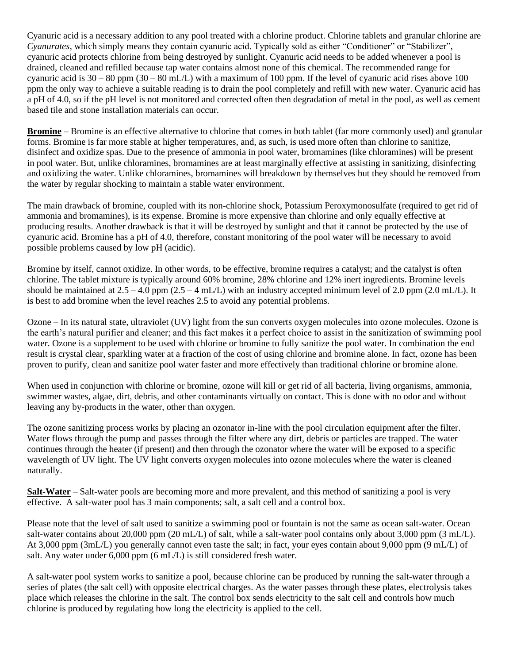Cyanuric acid is a necessary addition to any pool treated with a chlorine product. Chlorine tablets and granular chlorine are *Cyanurates*, which simply means they contain cyanuric acid. Typically sold as either "Conditioner" or "Stabilizer", cyanuric acid protects chlorine from being destroyed by sunlight. Cyanuric acid needs to be added whenever a pool is drained, cleaned and refilled because tap water contains almost none of this chemical. The recommended range for cyanuric acid is  $30 - 80$  ppm  $(30 - 80$  mL/L) with a maximum of 100 ppm. If the level of cyanuric acid rises above 100 ppm the only way to achieve a suitable reading is to drain the pool completely and refill with new water. Cyanuric acid has a pH of 4.0, so if the pH level is not monitored and corrected often then degradation of metal in the pool, as well as cement based tile and stone installation materials can occur.

**Bromine** – Bromine is an effective alternative to chlorine that comes in both tablet (far more commonly used) and granular forms. Bromine is far more stable at higher temperatures, and, as such, is used more often than chlorine to sanitize, disinfect and oxidize spas. Due to the presence of ammonia in pool water, bromamines (like chloramines) will be present in pool water. But, unlike chloramines, bromamines are at least marginally effective at assisting in sanitizing, disinfecting and oxidizing the water. Unlike chloramines, bromamines will breakdown by themselves but they should be removed from the water by regular shocking to maintain a stable water environment.

The main drawback of bromine, coupled with its non-chlorine shock, Potassium Peroxymonosulfate (required to get rid of ammonia and bromamines), is its expense. Bromine is more expensive than chlorine and only equally effective at producing results. Another drawback is that it will be destroyed by sunlight and that it cannot be protected by the use of cyanuric acid. Bromine has a pH of 4.0, therefore, constant monitoring of the pool water will be necessary to avoid possible problems caused by low pH (acidic).

Bromine by itself, cannot oxidize. In other words, to be effective, bromine requires a catalyst; and the catalyst is often chlorine. The tablet mixture is typically around 60% bromine, 28% chlorine and 12% inert ingredients. Bromine levels should be maintained at  $2.5 - 4.0$  ppm  $(2.5 - 4$  mL/L) with an industry accepted minimum level of 2.0 ppm  $(2.0$  mL/L). It is best to add bromine when the level reaches 2.5 to avoid any potential problems.

Ozone – In its natural state, ultraviolet (UV) light from the sun converts oxygen molecules into ozone molecules. Ozone is the earth's natural purifier and cleaner; and this fact makes it a perfect choice to assist in the sanitization of swimming pool water. Ozone is a supplement to be used with chlorine or bromine to fully sanitize the pool water. In combination the end result is crystal clear, sparkling water at a fraction of the cost of using chlorine and bromine alone. In fact, ozone has been proven to purify, clean and sanitize pool water faster and more effectively than traditional chlorine or bromine alone.

When used in conjunction with chlorine or bromine, ozone will kill or get rid of all bacteria, living organisms, ammonia, swimmer wastes, algae, dirt, debris, and other contaminants virtually on contact. This is done with no odor and without leaving any by-products in the water, other than oxygen.

The ozone sanitizing process works by placing an ozonator in-line with the pool circulation equipment after the filter. Water flows through the pump and passes through the filter where any dirt, debris or particles are trapped. The water continues through the heater (if present) and then through the ozonator where the water will be exposed to a specific wavelength of UV light. The UV light converts oxygen molecules into ozone molecules where the water is cleaned naturally.

**Salt-Water** – Salt-water pools are becoming more and more prevalent, and this method of sanitizing a pool is very effective. A salt-water pool has 3 main components; salt, a salt cell and a control box.

Please note that the level of salt used to sanitize a swimming pool or fountain is not the same as ocean salt-water. Ocean salt-water contains about 20,000 ppm (20 mL/L) of salt, while a salt-water pool contains only about 3,000 ppm (3 mL/L). At 3,000 ppm (3mL/L) you generally cannot even taste the salt; in fact, your eyes contain about 9,000 ppm (9 mL/L) of salt. Any water under 6,000 ppm (6 mL/L) is still considered fresh water.

A salt-water pool system works to sanitize a pool, because chlorine can be produced by running the salt-water through a series of plates (the salt cell) with opposite electrical charges. As the water passes through these plates, electrolysis takes place which releases the chlorine in the salt. The control box sends electricity to the salt cell and controls how much chlorine is produced by regulating how long the electricity is applied to the cell.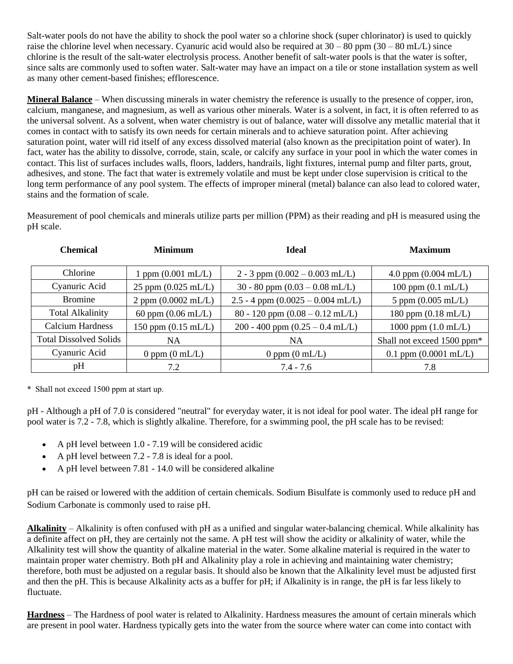Salt-water pools do not have the ability to shock the pool water so a chlorine shock (super chlorinator) is used to quickly raise the chlorine level when necessary. Cyanuric acid would also be required at  $30 - 80$  ppm  $(30 - 80$  mL/L) since chlorine is the result of the salt-water electrolysis process. Another benefit of salt-water pools is that the water is softer, since salts are commonly used to soften water. Salt-water may have an impact on a tile or stone installation system as well as many other cement-based finishes; efflorescence.

**Mineral Balance** – When discussing minerals in water chemistry the reference is usually to the presence of copper, iron, calcium, manganese, and magnesium, as well as various other minerals. Water is a solvent, in fact, it is often referred to as the universal solvent. As a solvent, when water chemistry is out of balance, water will dissolve any metallic material that it comes in contact with to satisfy its own needs for certain minerals and to achieve saturation point. After achieving saturation point, water will rid itself of any excess dissolved material (also known as the precipitation point of water). In fact, water has the ability to dissolve, corrode, stain, scale, or calcify any surface in your pool in which the water comes in contact. This list of surfaces includes walls, floors, ladders, handrails, light fixtures, internal pump and filter parts, grout, adhesives, and stone. The fact that water is extremely volatile and must be kept under close supervision is critical to the long term performance of any pool system. The effects of improper mineral (metal) balance can also lead to colored water, stains and the formation of scale.

Measurement of pool chemicals and minerals utilize parts per million (PPM) as their reading and pH is measured using the pH scale.

| <b>Chemical</b>               | <b>Minimum</b>                | <b>Ideal</b>                             | <b>Maximum</b>                         |  |
|-------------------------------|-------------------------------|------------------------------------------|----------------------------------------|--|
| Chlorine                      | 1 ppm $(0.001 \text{ mL/L})$  | 2 - 3 ppm $(0.002 - 0.003$ mL/L)         | 4.0 ppm $(0.004 \text{ mL/L})$         |  |
| Cyanuric Acid                 | 25 ppm $(0.025 \text{ mL/L})$ | 30 - 80 ppm $(0.03 - 0.08 \text{ mL/L})$ | 100 ppm $(0.1 \text{ mL/L})$           |  |
| <b>Bromine</b>                | 2 ppm $(0.0002 \text{ mL/L})$ | 2.5 - 4 ppm $(0.0025 - 0.004$ mL/L)      | 5 ppm $(0.005 \text{ mL/L})$           |  |
| <b>Total Alkalinity</b>       | 60 ppm $(0.06 \text{ mL/L})$  | 80 - 120 ppm $(0.08 - 0.12$ mL/L)        | 180 ppm $(0.18 \text{ mL/L})$          |  |
| Calcium Hardness              | 150 ppm $(0.15 \text{ mL/L})$ | 200 - 400 ppm $(0.25 - 0.4$ mL/L)        | 1000 ppm $(1.0 \text{ mL/L})$          |  |
| <b>Total Dissolved Solids</b> | <b>NA</b>                     | <b>NA</b>                                | Shall not exceed 1500 ppm <sup>*</sup> |  |
| Cyanuric Acid                 | 0 ppm $(0 \text{ mL/L})$      | 0 ppm $(0 \text{ mL/L})$                 | $0.1$ ppm $(0.0001$ mL/L)              |  |
| pH                            | 7.2                           | $7.4 - 7.6$                              | 7.8                                    |  |

\* Shall not exceed 1500 ppm at start up.

pH - Although a pH of 7.0 is considered "neutral" for everyday water, it is not ideal for pool water. The ideal pH range for pool water is 7.2 - 7.8, which is slightly alkaline. Therefore, for a swimming pool, the pH scale has to be revised:

- A pH level between 1.0 7.19 will be considered acidic
- A pH level between 7.2 7.8 is ideal for a pool.
- A pH level between 7.81 14.0 will be considered alkaline

pH can be raised or lowered with the addition of certain chemicals. Sodium Bisulfate is commonly used to reduce pH and Sodium Carbonate is commonly used to raise pH.

**Alkalinity** – Alkalinity is often confused with pH as a unified and singular water-balancing chemical. While alkalinity has a definite affect on pH, they are certainly not the same. A pH test will show the acidity or alkalinity of water, while the Alkalinity test will show the quantity of alkaline material in the water. Some alkaline material is required in the water to maintain proper water chemistry. Both pH and Alkalinity play a role in achieving and maintaining water chemistry; therefore, both must be adjusted on a regular basis. It should also be known that the Alkalinity level must be adjusted first and then the pH. This is because Alkalinity acts as a buffer for pH; if Alkalinity is in range, the pH is far less likely to fluctuate.

**Hardness** – The Hardness of pool water is related to Alkalinity. Hardness measures the amount of certain minerals which are present in pool water. Hardness typically gets into the water from the source where water can come into contact with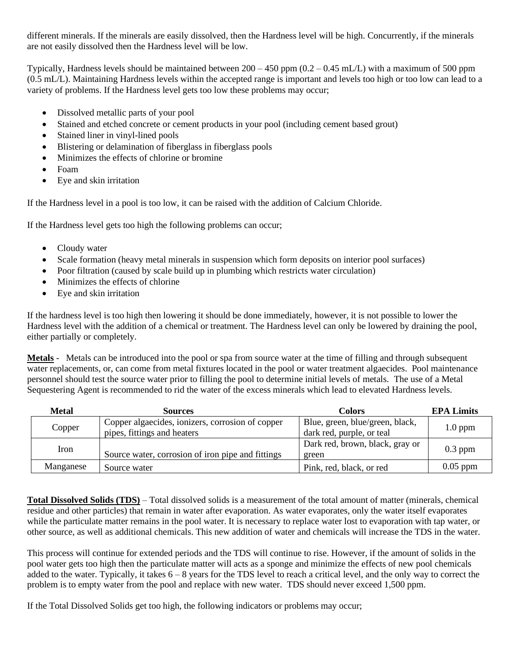different minerals. If the minerals are easily dissolved, then the Hardness level will be high. Concurrently, if the minerals are not easily dissolved then the Hardness level will be low.

Typically, Hardness levels should be maintained between  $200 - 450$  ppm  $(0.2 - 0.45$  mL/L) with a maximum of 500 ppm (0.5 mL/L). Maintaining Hardness levels within the accepted range is important and levels too high or too low can lead to a variety of problems. If the Hardness level gets too low these problems may occur;

- Dissolved metallic parts of your pool
- Stained and etched concrete or cement products in your pool (including cement based grout)
- Stained liner in vinyl-lined pools
- Blistering or delamination of fiberglass in fiberglass pools
- Minimizes the effects of chlorine or bromine
- Foam
- Eye and skin irritation

If the Hardness level in a pool is too low, it can be raised with the addition of Calcium Chloride.

If the Hardness level gets too high the following problems can occur;

- Cloudy water
- Scale formation (heavy metal minerals in suspension which form deposits on interior pool surfaces)
- Poor filtration (caused by scale build up in plumbing which restricts water circulation)
- Minimizes the effects of chlorine
- Eye and skin irritation

If the hardness level is too high then lowering it should be done immediately, however, it is not possible to lower the Hardness level with the addition of a chemical or treatment. The Hardness level can only be lowered by draining the pool, either partially or completely.

**Metals** - Metals can be introduced into the pool or spa from source water at the time of filling and through subsequent water replacements, or, can come from metal fixtures located in the pool or water treatment algaecides. Pool maintenance personnel should test the source water prior to filling the pool to determine initial levels of metals. The use of a Metal Sequestering Agent is recommended to rid the water of the excess minerals which lead to elevated Hardness levels.

| <b>Metal</b> | <b>Sources</b>                                    | Colors                          | <b>EPA Limits</b> |  |
|--------------|---------------------------------------------------|---------------------------------|-------------------|--|
| Copper       | Copper algaecides, ionizers, corrosion of copper  | Blue, green, blue/green, black, | $1.0$ ppm         |  |
|              | pipes, fittings and heaters                       | dark red, purple, or teal       |                   |  |
| Iron         |                                                   | Dark red, brown, black, gray or | $0.3$ ppm         |  |
|              | Source water, corrosion of iron pipe and fittings | green                           |                   |  |
| Manganese    | Source water                                      | Pink, red, black, or red        | $0.05$ ppm        |  |

**Total Dissolved Solids (TDS)** – Total dissolved solids is a measurement of the total amount of matter (minerals, chemical residue and other particles) that remain in water after evaporation. As water evaporates, only the water itself evaporates while the particulate matter remains in the pool water. It is necessary to replace water lost to evaporation with tap water, or other source, as well as additional chemicals. This new addition of water and chemicals will increase the TDS in the water.

This process will continue for extended periods and the TDS will continue to rise. However, if the amount of solids in the pool water gets too high then the particulate matter will acts as a sponge and minimize the effects of new pool chemicals added to the water. Typically, it takes  $6 - 8$  years for the TDS level to reach a critical level, and the only way to correct the problem is to empty water from the pool and replace with new water. TDS should never exceed 1,500 ppm.

If the Total Dissolved Solids get too high, the following indicators or problems may occur;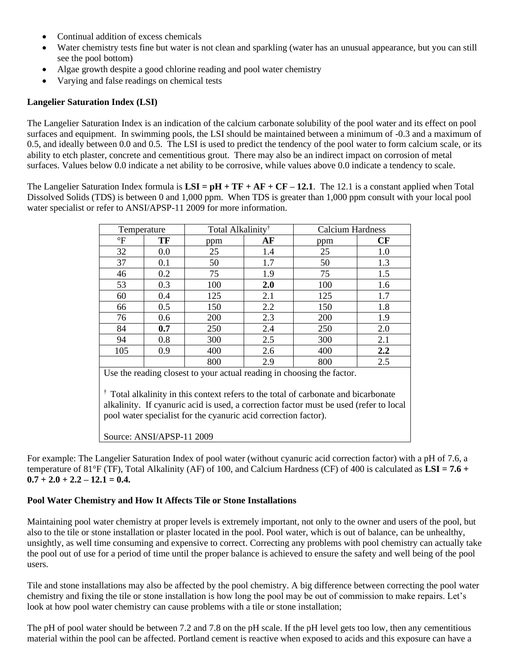- Continual addition of excess chemicals
- Water chemistry tests fine but water is not clean and sparkling (water has an unusual appearance, but you can still see the pool bottom)
- Algae growth despite a good chlorine reading and pool water chemistry
- Varying and false readings on chemical tests

### **Langelier Saturation Index (LSI)**

The Langelier Saturation Index is an indication of the calcium carbonate solubility of the pool water and its effect on pool surfaces and equipment. In swimming pools, the LSI should be maintained between a minimum of -0.3 and a maximum of 0.5, and ideally between 0.0 and 0.5. The LSI is used to predict the tendency of the pool water to form calcium scale, or its ability to etch plaster, concrete and cementitious grout. There may also be an indirect impact on corrosion of metal surfaces. Values below 0.0 indicate a net ability to be corrosive, while values above 0.0 indicate a tendency to scale.

The Langelier Saturation Index formula is  $LSI = pH + TF + AF + CF - 12.1$ . The 12.1 is a constant applied when Total Dissolved Solids (TDS) is between 0 and 1,000 ppm. When TDS is greater than 1,000 ppm consult with your local pool water specialist or refer to ANSI/APSP-11 2009 for more information.

| Temperature                                                                                                                                                                                                                                                 |     | Total Alkalinity <sup>†</sup> |     | Calcium Hardness |     |  |  |
|-------------------------------------------------------------------------------------------------------------------------------------------------------------------------------------------------------------------------------------------------------------|-----|-------------------------------|-----|------------------|-----|--|--|
| $\mathrm{P}$                                                                                                                                                                                                                                                | TF  | ppm                           | AF  | ppm              | CF  |  |  |
| 32                                                                                                                                                                                                                                                          | 0.0 | 25                            | 1.4 | 25               | 1.0 |  |  |
| 37                                                                                                                                                                                                                                                          | 0.1 | 50                            | 1.7 | 50               | 1.3 |  |  |
| 46                                                                                                                                                                                                                                                          | 0.2 | 75                            | 1.9 | 75               | 1.5 |  |  |
| 53                                                                                                                                                                                                                                                          | 0.3 | 100                           | 2.0 | 100              | 1.6 |  |  |
| 60                                                                                                                                                                                                                                                          | 0.4 | 125                           | 2.1 | 125              | 1.7 |  |  |
| 66                                                                                                                                                                                                                                                          | 0.5 | 150                           | 2.2 | 150              | 1.8 |  |  |
| 76                                                                                                                                                                                                                                                          | 0.6 | 200                           | 2.3 | 200              | 1.9 |  |  |
| 84                                                                                                                                                                                                                                                          | 0.7 | 250                           | 2.4 | 250              | 2.0 |  |  |
| 94                                                                                                                                                                                                                                                          | 0.8 | 300                           | 2.5 | 300              | 2.1 |  |  |
| 105                                                                                                                                                                                                                                                         | 0.9 | 400                           | 2.6 | 400              | 2.2 |  |  |
|                                                                                                                                                                                                                                                             |     | 800                           | 2.9 | 800              | 2.5 |  |  |
| Use the reading closest to your actual reading in choosing the factor.                                                                                                                                                                                      |     |                               |     |                  |     |  |  |
| <sup>†</sup> Total alkalinity in this context refers to the total of carbonate and bicarbonate<br>alkalinity. If cyanuric acid is used, a correction factor must be used (refer to local<br>pool water specialist for the cyanuric acid correction factor). |     |                               |     |                  |     |  |  |
| Source: ANSI/APSP-11 2009                                                                                                                                                                                                                                   |     |                               |     |                  |     |  |  |

For example: The Langelier Saturation Index of pool water (without cyanuric acid correction factor) with a pH of 7.6, a temperature of 81°F (TF), Total Alkalinity (AF) of 100, and Calcium Hardness (CF) of 400 is calculated as **LSI = 7.6 +**   $0.7 + 2.0 + 2.2 - 12.1 = 0.4$ .

#### **Pool Water Chemistry and How It Affects Tile or Stone Installations**

Maintaining pool water chemistry at proper levels is extremely important, not only to the owner and users of the pool, but also to the tile or stone installation or plaster located in the pool. Pool water, which is out of balance, can be unhealthy, unsightly, as well time consuming and expensive to correct. Correcting any problems with pool chemistry can actually take the pool out of use for a period of time until the proper balance is achieved to ensure the safety and well being of the pool users.

Tile and stone installations may also be affected by the pool chemistry. A big difference between correcting the pool water chemistry and fixing the tile or stone installation is how long the pool may be out of commission to make repairs. Let's look at how pool water chemistry can cause problems with a tile or stone installation;

The pH of pool water should be between 7.2 and 7.8 on the pH scale. If the pH level gets too low, then any cementitious material within the pool can be affected. Portland cement is reactive when exposed to acids and this exposure can have a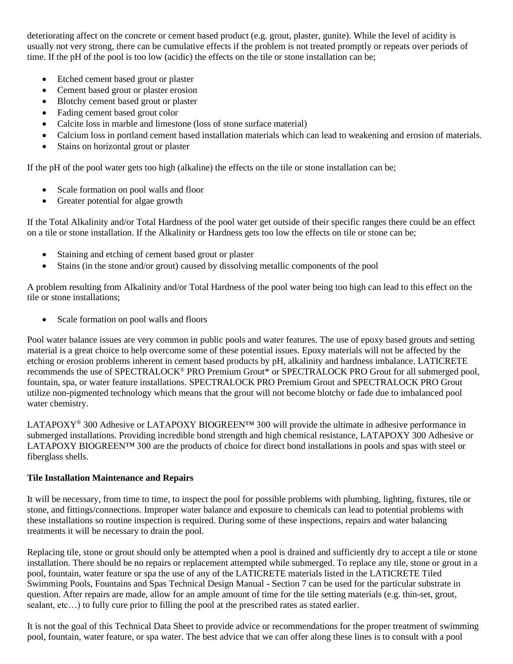deteriorating affect on the concrete or cement based product (e.g. grout, plaster, gunite). While the level of acidity is usually not very strong, there can be cumulative effects if the problem is not treated promptly or repeats over periods of time. If the pH of the pool is too low (acidic) the effects on the tile or stone installation can be;

- Etched cement based grout or plaster
- Cement based grout or plaster erosion
- Blotchy cement based grout or plaster
- Fading cement based grout color
- Calcite loss in marble and limestone (loss of stone surface material)
- Calcium loss in portland cement based installation materials which can lead to weakening and erosion of materials.
- Stains on horizontal grout or plaster

If the pH of the pool water gets too high (alkaline) the effects on the tile or stone installation can be;

- Scale formation on pool walls and floor
- Greater potential for algae growth

If the Total Alkalinity and/or Total Hardness of the pool water get outside of their specific ranges there could be an effect on a tile or stone installation. If the Alkalinity or Hardness gets too low the effects on tile or stone can be;

- Staining and etching of cement based grout or plaster
- Stains (in the stone and/or grout) caused by dissolving metallic components of the pool

A problem resulting from Alkalinity and/or Total Hardness of the pool water being too high can lead to this effect on the tile or stone installations;

• Scale formation on pool walls and floors

Pool water balance issues are very common in public pools and water features. The use of epoxy based grouts and setting material is a great choice to help overcome some of these potential issues. Epoxy materials will not be affected by the etching or erosion problems inherent in cement based products by pH, alkalinity and hardness imbalance. LATICRETE recommends the use of SPECTRALOCK® PRO Premium Grout\* or SPECTRALOCK PRO Grout for all submerged pool, fountain, spa, or water feature installations. SPECTRALOCK PRO Premium Grout and SPECTRALOCK PRO Grout utilize non-pigmented technology which means that the grout will not become blotchy or fade due to imbalanced pool water chemistry.

LATAPOXY® 300 Adhesive or LATAPOXY BIOGREEN™ 300 will provide the ultimate in adhesive performance in submerged installations. Providing incredible bond strength and high chemical resistance, LATAPOXY 300 Adhesive or LATAPOXY BIOGREEN™ 300 are the products of choice for direct bond installations in pools and spas with steel or fiberglass shells.

## **Tile Installation Maintenance and Repairs**

It will be necessary, from time to time, to inspect the pool for possible problems with plumbing, lighting, fixtures, tile or stone, and fittings/connections. Improper water balance and exposure to chemicals can lead to potential problems with these installations so routine inspection is required. During some of these inspections, repairs and water balancing treatments it will be necessary to drain the pool.

Replacing tile, stone or grout should only be attempted when a pool is drained and sufficiently dry to accept a tile or stone installation. There should be no repairs or replacement attempted while submerged. To replace any tile, stone or grout in a pool, fountain, water feature or spa the use of any of the LATICRETE materials listed in the LATICRETE Tiled Swimming Pools, Fountains and Spas Technical Design Manual - Section 7 can be used for the particular substrate in question. After repairs are made, allow for an ample amount of time for the tile setting materials (e.g. thin-set, grout, sealant, etc...) to fully cure prior to filling the pool at the prescribed rates as stated earlier.

It is not the goal of this Technical Data Sheet to provide advice or recommendations for the proper treatment of swimming pool, fountain, water feature, or spa water. The best advice that we can offer along these lines is to consult with a pool